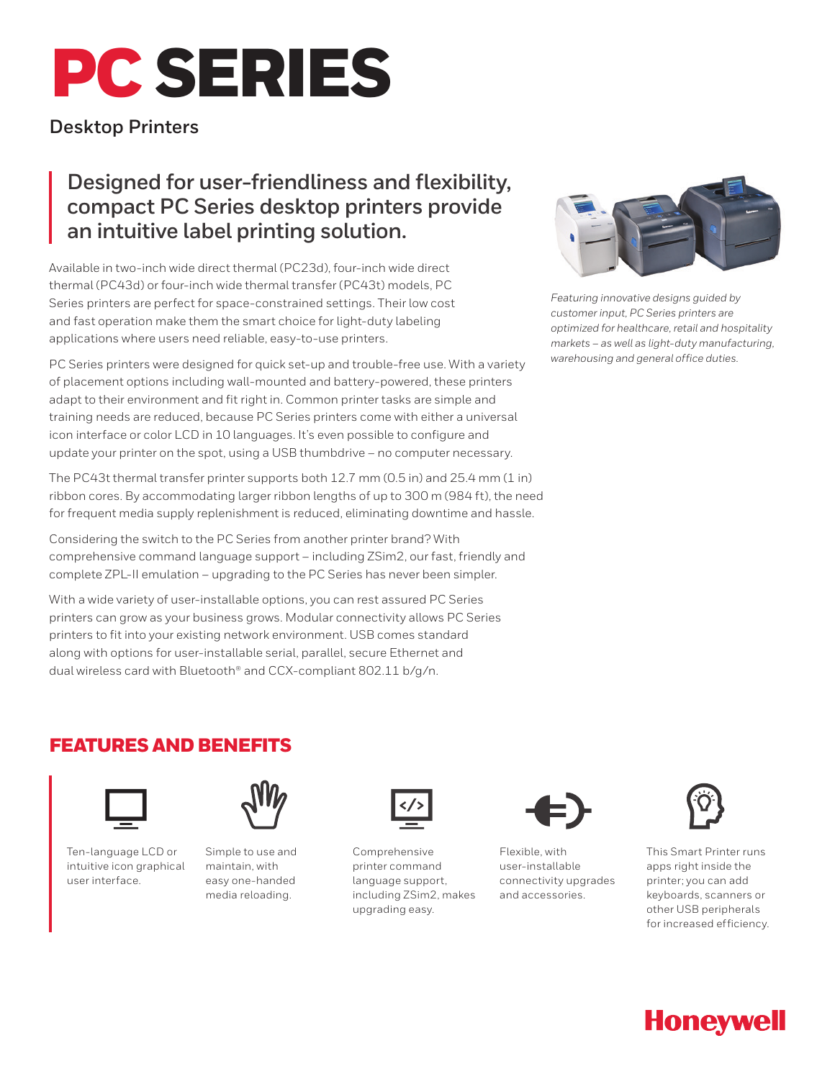# PC SERIES

## **Desktop Printers**

## **Designed for user-friendliness and flexibility, compact PC Series desktop printers provide an intuitive label printing solution.**

Available in two-inch wide direct thermal (PC23d), four-inch wide direct thermal (PC43d) or four-inch wide thermal transfer (PC43t) models, PC Series printers are perfect for space-constrained settings. Their low cost and fast operation make them the smart choice for light-duty labeling applications where users need reliable, easy-to-use printers.

PC Series printers were designed for quick set-up and trouble-free use. With a variety of placement options including wall-mounted and battery-powered, these printers adapt to their environment and fit right in. Common printer tasks are simple and training needs are reduced, because PC Series printers come with either a universal icon interface or color LCD in 10 languages. It's even possible to configure and update your printer on the spot, using a USB thumbdrive – no computer necessary.

The PC43t thermal transfer printer supports both 12.7 mm (0.5 in) and 25.4 mm (1 in) ribbon cores. By accommodating larger ribbon lengths of up to 300 m (984 ft), the need for frequent media supply replenishment is reduced, eliminating downtime and hassle.

Considering the switch to the PC Series from another printer brand? With comprehensive command language support – including ZSim2, our fast, friendly and complete ZPL-II emulation – upgrading to the PC Series has never been simpler.

With a wide variety of user-installable options, you can rest assured PC Series printers can grow as your business grows. Modular connectivity allows PC Series printers to fit into your existing network environment. USB comes standard along with options for user-installable serial, parallel, secure Ethernet and dual wireless card with Bluetooth® and CCX-compliant 802.11 b/g/n.



*Featuring innovative designs guided by customer input, PC Series printers are optimized for healthcare, retail and hospitality markets – as well as light-duty manufacturing, warehousing and general office duties.*

### FEATURES AND BENEFITS



Ten-language LCD or intuitive icon graphical user interface.



Simple to use and maintain, with easy one-handed media reloading.



Comprehensive printer command language support, including ZSim2, makes upgrading easy.



Flexible, with user-installable connectivity upgrades and accessories.



This Smart Printer runs apps right inside the printer; you can add keyboards, scanners or other USB peripherals for increased efficiency.

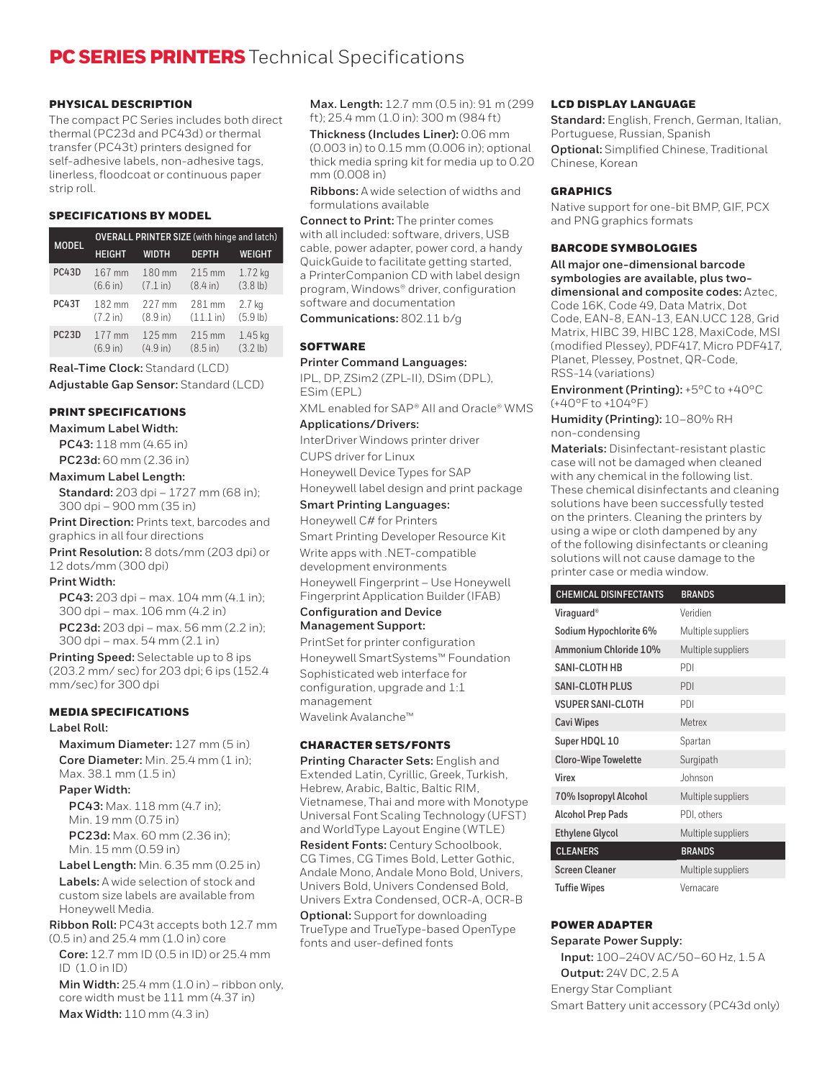#### PHYSICAL DESCRIPTION

The compact PC Series includes both direct thermal (PC23d and PC43d) or thermal transfer (PC43t) printers designed for self-adhesive labels, non-adhesive tags, linerless, floodcoat or continuous paper strip roll.

#### SPECIFICATIONS BY MODEL

| <b>MODEL</b>       | <b>OVERALL PRINTER SIZE</b> (with hinge and latch) |              |                    |                    |
|--------------------|----------------------------------------------------|--------------|--------------------|--------------------|
|                    | <b>HEIGHT</b>                                      | <b>WIDTH</b> | <b>DEPTH</b>       | WEIGHT             |
| PC43D              | 167 mm                                             | 180 mm       | 215 mm             | 1.72 kg            |
|                    | (6.6 in)                                           | (7.1 in)     | $(8.4 \text{ in})$ | $(3.8 \, lb)$      |
| PC43T              | 182 mm                                             | 227 mm       | 281 mm             | 2.7 <sub>kg</sub>  |
|                    | (7.2 in)                                           | (8.9 in)     | (11.1 in)          | (5.9 lb)           |
| PC <sub>23</sub> D | 177 mm                                             | 125 mm       | 215 mm             | $1.45$ kg          |
|                    | (6.9 in)                                           | (4.9 in)     | $(8.5 \text{ in})$ | $(3.2 \text{ lb})$ |

**Real-Time Clock:** Standard (LCD) **Adjustable Gap Sensor:** Standard (LCD)

#### PRINT SPECIFICATIONS

**Maximum Label Width:**

**PC43:** 118 mm (4.65 in)

**PC23d:** 60 mm (2.36 in)

#### **Maximum Label Length:**

**Standard:** 203 dpi – 1727 mm (68 in); 300 dpi – 900 mm (35 in)

**Print Direction:** Prints text, barcodes and graphics in all four directions

**Print Resolution:** 8 dots/mm (203 dpi) or 12 dots/mm (300 dpi)

#### **Print Width:**

**PC43:** 203 dpi – max. 104 mm (4.1 in); 300 dpi – max. 106 mm (4.2 in) **PC23d:** 203 dpi – max. 56 mm (2.2 in); 300 dpi – max. 54 mm (2.1 in)

**Printing Speed:** Selectable up to 8 ips (203.2 mm/ sec) for 203 dpi; 6 ips (152.4 mm/sec) for 300 dpi

#### MEDIA SPECIFICATIONS

#### **Label Roll:**

**Maximum Diameter:** 127 mm (5 in) **Core Diameter:** Min. 25.4 mm (1 in): Max. 38.1 mm (1.5 in)

#### **Paper Width:**

**PC43:** Max. 118 mm (4.7 in); Min. 19 mm (0.75 in) **PC23d:** Max. 60 mm (2.36 in); Min. 15 mm (0.59 in)

**Label Length:** Min. 6.35 mm (0.25 in)

**Labels:** A wide selection of stock and custom size labels are available from Honeywell Media.

**Ribbon Roll:** PC43t accepts both 12.7 mm (0.5 in) and 25.4 mm (1.0 in) core

**Core:** 12.7 mm ID (0.5 in ID) or 25.4 mm ID (1.0 in ID)

**Min Width:** 25.4 mm (1.0 in) – ribbon only, core width must be 111 mm (4.37 in) **Max Width:** 110 mm (4.3 in)

**Max. Length:** 12.7 mm (0.5 in): 91 m (299 ft); 25.4 mm (1.0 in): 300 m (984 ft)

**Thickness (Includes Liner):** 0.06 mm (0.003 in) to 0.15 mm (0.006 in); optional thick media spring kit for media up to 0.20 mm (0.008 in)

**Ribbons:** A wide selection of widths and formulations available

**Connect to Print:** The printer comes with all included: software, drivers, USB cable, power adapter, power cord, a handy QuickGuide to facilitate getting started, a PrinterCompanion CD with label design program, Windows® driver, configuration software and documentation

**Communications:** 802.11 b/g

#### **SOFTWARE**

#### **Printer Command Languages:**

IPL, DP, ZSim2 (ZPL-II), DSim (DPL), ESim (EPL) XML enabled for SAP® AII and Oracle® WMS

**Applications/Drivers:** 

InterDriver Windows printer driver CUPS driver for Linux Honeywell Device Types for SAP Honeywell label design and print package

#### **Smart Printing Languages:**

Honeywell C# for Printers Smart Printing Developer Resource Kit Write apps with .NET-compatible development environments Honeywell Fingerprint – Use Honeywell Fingerprint Application Builder (IFAB)

#### **Configuration and Device Management Support:**

PrintSet for printer configuration Honeywell SmartSystems™ Foundation Sophisticated web interface for configuration, upgrade and 1:1 management Wavelink Avalanche™

#### CHARACTER SETS/FONTS

**Printing Character Sets:** English and Extended Latin, Cyrillic, Greek, Turkish, Hebrew, Arabic, Baltic, Baltic RIM, Vietnamese, Thai and more with Monotype Universal Font Scaling Technology (UFST) and WorldType Layout Engine (WTLE) **Resident Fonts:** Century Schoolbook, CG Times, CG Times Bold, Letter Gothic, Andale Mono, Andale Mono Bold, Univers, Univers Bold, Univers Condensed Bold, Univers Extra Condensed, OCR-A, OCR-B **Optional:** Support for downloading TrueType and TrueType-based OpenType fonts and user-defined fonts

#### LCD DISPLAY LANGUAGE

**Standard:** English, French, German, Italian, Portuguese, Russian, Spanish **Optional:** Simplified Chinese, Traditional Chinese, Korean

#### **GRAPHICS**

Native support for one-bit BMP, GIF, PCX and PNG graphics formats

#### BARCODE SYMBOLOGIES

**All major one-dimensional barcode symbologies are available, plus twodimensional and composite codes:** Aztec, Code 16K, Code 49, Data Matrix, Dot Code, EAN-8, EAN-13, EAN.UCC 128, Grid Matrix, HIBC 39, HIBC 128, MaxiCode, MSI (modified Plessey), PDF417, Micro PDF417, Planet, Plessey, Postnet, QR-Code, RSS-14 (variations)

**Environment (Printing):** +5°C to +40°C (+40°F to +104°F)

**Humidity (Printing):** 10–80% RH non-condensing

**Materials:** Disinfectant-resistant plastic case will not be damaged when cleaned with any chemical in the following list. These chemical disinfectants and cleaning solutions have been successfully tested on the printers. Cleaning the printers by using a wipe or cloth dampened by any of the following disinfectants or cleaning solutions will not cause damage to the printer case or media window.

| <b>CHEMICAL DISINFECTANTS</b> | <b>BRANDS</b>      |
|-------------------------------|--------------------|
| Viraguard®                    | Veridien           |
| Sodium Hypochlorite 6%        | Multiple suppliers |
| Ammonium Chloride 10%         | Multiple suppliers |
| SANI-CLOTH HB                 | PDI                |
| <b>SANI-CLOTH PLUS</b>        | PDI                |
| <b>VSUPER SANI-CLOTH</b>      | PDI                |
| <b>Cavi Wipes</b>             | Metrex             |
| Super HDQL 10                 | Spartan            |
| <b>Cloro-Wipe Towelette</b>   | Surgipath          |
| Virex                         | Johnson            |
| 70% Isopropyl Alcohol         | Multiple suppliers |
| <b>Alcohol Prep Pads</b>      | PDI, others        |
| <b>Ethylene Glycol</b>        | Multiple suppliers |
| <b>CLEANERS</b>               | <b>BRANDS</b>      |
| <b>Screen Cleaner</b>         | Multiple suppliers |
| <b>Tuffie Wipes</b>           | Vernacare          |

#### POWER ADAPTER

**Separate Power Supply: Input:** 100–240V AC/50–60 Hz, 1.5 A **Output:** 24V DC, 2.5 A Energy Star Compliant Smart Battery unit accessory (PC43d only)